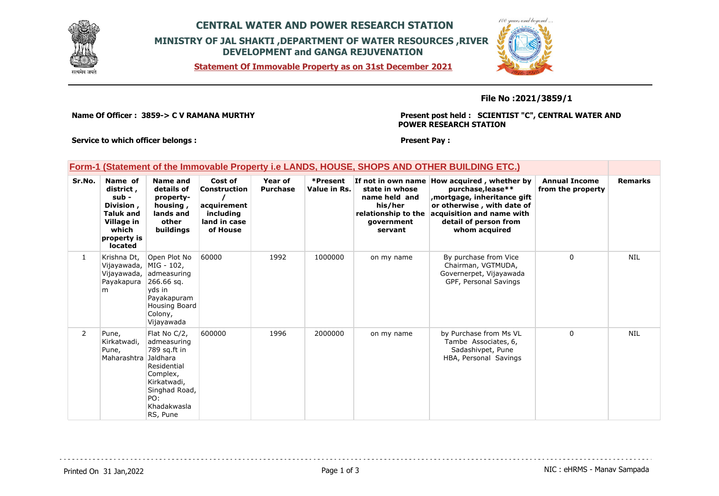

## **CENTRAL WATER AND POWER RESEARCH STATION MINISTRY OF JAL SHAKTI ,DEPARTMENT OF WATER RESOURCES ,RIVER DEVELOPMENT and GANGA REJUVENATION**

 $400$  species and

**Statement Of Immovable Property as on 31st December 2021**

## **File No :2021/3859/1**

**Name Of Officer : 3859-> C V RAMANA MURTHY** 

**Present post held : SCIENTIST "C", CENTRAL WATER AND POWER RESEARCH STATION**

**Service to which officer belongs :** 

**Present Pay :** 

| <u>Form-1 (Statement of the Immovable Property i.e LANDS, HOUSE, SHOPS AND OTHER BUILDING ETC.)</u> |                                                                                                                        |                                                                                                                                                      |                                                                                 |                            |                          |                                                                                            |                                                                                                                                                                                                     |                                           |                |
|-----------------------------------------------------------------------------------------------------|------------------------------------------------------------------------------------------------------------------------|------------------------------------------------------------------------------------------------------------------------------------------------------|---------------------------------------------------------------------------------|----------------------------|--------------------------|--------------------------------------------------------------------------------------------|-----------------------------------------------------------------------------------------------------------------------------------------------------------------------------------------------------|-------------------------------------------|----------------|
| Sr.No.                                                                                              | Name of<br>district,<br>sub -<br>Division,<br><b>Taluk and</b><br>Village in<br>which<br>property is<br><b>located</b> | <b>Name and</b><br>details of<br>property-<br>housing,<br>lands and<br>other<br>buildings                                                            | Cost of<br>Construction<br>acquirement<br>including<br>land in case<br>of House | Year of<br><b>Purchase</b> | *Present<br>Value in Rs. | state in whose<br>name held and<br>his/her<br>relationship to the<br>government<br>servant | If not in own name How acquired, whether by<br>purchase, lease**<br>mortgage, inheritance gift<br>or otherwise, with date of<br>acquisition and name with<br>detail of person from<br>whom acquired | <b>Annual Income</b><br>from the property | <b>Remarks</b> |
| 1                                                                                                   | Krishna Dt,<br>Vijayawada,<br>Vijayawada,<br>Payakapura<br>m                                                           | Open Plot No<br>MIG - 102,<br>admeasuring<br>266.66 sq.<br>vds in<br>Payakapuram<br>Housing Board<br>Colony,<br>Vijayawada                           | 60000                                                                           | 1992                       | 1000000                  | on my name                                                                                 | By purchase from Vice<br>Chairman, VGTMUDA,<br>Governerpet, Vijayawada<br>GPF, Personal Savings                                                                                                     | 0                                         | <b>NIL</b>     |
| $\overline{2}$                                                                                      | Pune,<br>Kirkatwadi,<br>Pune,<br>Maharashtra                                                                           | Flat No C/2,<br>admeasuring<br>789 sq.ft in<br>Jaldhara<br>Residential<br>Complex,<br>Kirkatwadi,<br>Singhad Road,<br>PO:<br>Khadakwasla<br>RS, Pune | 600000                                                                          | 1996                       | 2000000                  | on my name                                                                                 | by Purchase from Ms VL<br>Tambe Associates, 6,<br>Sadashivpet, Pune<br>HBA, Personal Savings                                                                                                        | 0                                         | <b>NIL</b>     |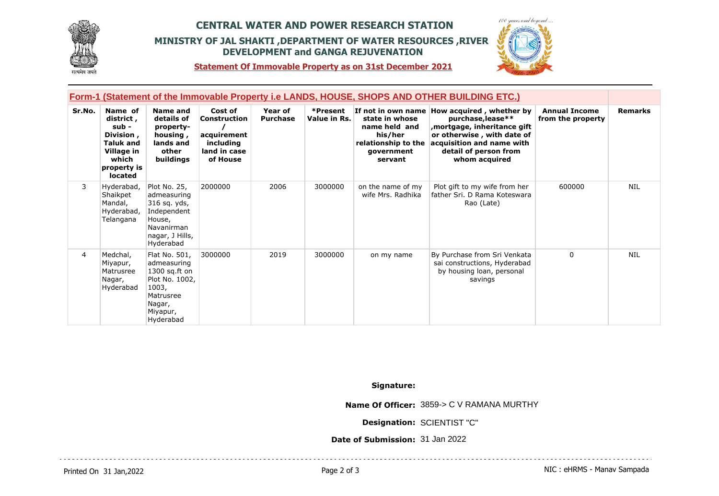

## **CENTRAL WATER AND POWER RESEARCH STATION MINISTRY OF JAL SHAKTI ,DEPARTMENT OF WATER RESOURCES ,RIVER DEVELOPMENT and GANGA REJUVENATION**



**Statement Of Immovable Property as on 31st December 2021**

|        | Form-1 (Statement of the Immovable Property i.e LANDS, HOUSE, SHOPS AND OTHER BUILDING ETC.)             |                                                                                                                            |                                                                                        |                            |                          |                                                                                            |                                                                                                                                                                                                       |                                           |                |  |  |
|--------|----------------------------------------------------------------------------------------------------------|----------------------------------------------------------------------------------------------------------------------------|----------------------------------------------------------------------------------------|----------------------------|--------------------------|--------------------------------------------------------------------------------------------|-------------------------------------------------------------------------------------------------------------------------------------------------------------------------------------------------------|-------------------------------------------|----------------|--|--|
| Sr.No. | Name of<br>district,<br>sub -<br>Division,<br>Taluk and<br>Village in<br>which<br>property is<br>located | <b>Name and</b><br>details of<br>property-<br>housing,<br>lands and<br>other<br>buildings                                  | Cost of<br><b>Construction</b><br>acquirement<br>including<br>land in case<br>of House | Year of<br><b>Purchase</b> | *Present<br>Value in Rs. | state in whose<br>name held and<br>his/her<br>relationship to the<br>government<br>servant | If not in own name How acquired, whether by<br>purchase, lease**<br>, mortgage, inheritance gift<br>or otherwise, with date of<br>acquisition and name with<br>detail of person from<br>whom acquired | <b>Annual Income</b><br>from the property | <b>Remarks</b> |  |  |
| 3      | Hyderabad,<br>Shaikpet<br>Mandal,<br>Hyderabad,<br>Telangana                                             | Plot No. 25,<br>admeasuring<br>316 sq. yds,<br>Independent<br>House,<br>Navanirman<br>nagar, J Hills,<br>Hyderabad         | 2000000                                                                                | 2006                       | 3000000                  | on the name of my<br>wife Mrs. Radhika                                                     | Plot gift to my wife from her<br>father Sri, D Rama Koteswara<br>Rao (Late)                                                                                                                           | 600000                                    | <b>NIL</b>     |  |  |
| 4      | Medchal,<br>Miyapur,<br>Matrusree<br>Nagar,<br>Hyderabad                                                 | Flat No. 501,<br>admeasuring<br>$1300$ sq.ft on<br>Plot No. 1002,<br>1003,<br>Matrusree<br>Nagar,<br>Miyapur,<br>Hyderabad | 3000000                                                                                | 2019                       | 3000000                  | on my name                                                                                 | By Purchase from Sri Venkata<br>sai constructions, Hyderabad<br>by housing loan, personal<br>savings                                                                                                  | $\Omega$                                  | <b>NIL</b>     |  |  |

**Signature:**

**Name Of Officer:** 3859-> C V RAMANA MURTHY

. . . . . . . . . . . . . . . . . . . .

**Designation:** SCIENTIST "C"

**Date of Submission:** 31 Jan 2022